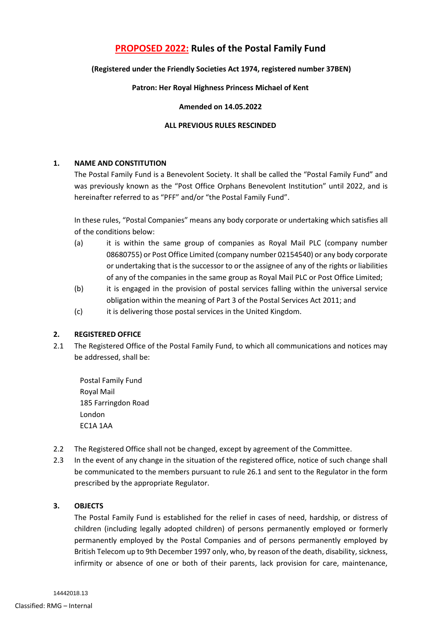# **PROPOSED 2022: Rules of the Postal Family Fund**

# **(Registered under the Friendly Societies Act 1974, registered number 37BEN)**

# **Patron: Her Royal Highness Princess Michael of Kent**

#### **Amended on 14.05.2022**

# **ALL PREVIOUS RULES RESCINDED**

# **1. NAME AND CONSTITUTION**

The Postal Family Fund is a Benevolent Society. It shall be called the "Postal Family Fund" and was previously known as the "Post Office Orphans Benevolent Institution" until 2022, and is hereinafter referred to as "PFF" and/or "the Postal Family Fund".

In these rules, "Postal Companies" means any body corporate or undertaking which satisfies all of the conditions below:

- (a) it is within the same group of companies as Royal Mail PLC (company number 08680755) or Post Office Limited (company number 02154540) or any body corporate or undertaking that is the successor to or the assignee of any of the rights or liabilities of any of the companies in the same group as Royal Mail PLC or Post Office Limited;
- (b) it is engaged in the provision of postal services falling within the universal service obligation within the meaning of Part 3 of the Postal Services Act 2011; and
- (c) it is delivering those postal services in the United Kingdom.

# **2. REGISTERED OFFICE**

2.1 The Registered Office of the Postal Family Fund, to which all communications and notices may be addressed, shall be:

Postal Family Fund Royal Mail 185 Farringdon Road London EC1A 1AA

- 2.2 The Registered Office shall not be changed, except by agreement of the Committee.
- 2.3 In the event of any change in the situation of the registered office, notice of such change shall be communicated to the members pursuant to rule [26.1](#page-10-0) and sent to the Regulator in the form prescribed by the appropriate Regulator.

# **3. OBJECTS**

The Postal Family Fund is established for the relief in cases of need, hardship, or distress of children (including legally adopted children) of persons permanently employed or formerly permanently employed by the Postal Companies and of persons permanently employed by British Telecom up to 9th December 1997 only, who, by reason of the death, disability, sickness, infirmity or absence of one or both of their parents, lack provision for care, maintenance,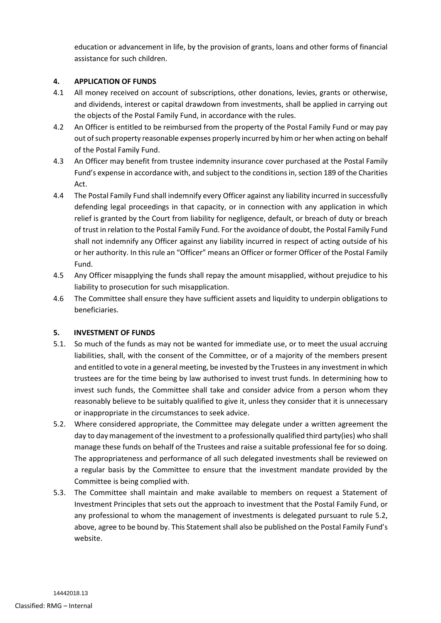education or advancement in life, by the provision of grants, loans and other forms of financial assistance for such children.

# **4. APPLICATION OF FUNDS**

- 4.1 All money received on account of subscriptions, other donations, levies, grants or otherwise, and dividends, interest or capital drawdown from investments, shall be applied in carrying out the objects of the Postal Family Fund, in accordance with the rules.
- 4.2 An Officer is entitled to be reimbursed from the property of the Postal Family Fund or may pay out of such property reasonable expenses properly incurred by him or her when acting on behalf of the Postal Family Fund.
- 4.3 An Officer may benefit from trustee indemnity insurance cover purchased at the Postal Family Fund's expense in accordance with, and subject to the conditions in, section 189 of the Charities Act.
- 4.4 The Postal Family Fund shall indemnify every Officer against any liability incurred in successfully defending legal proceedings in that capacity, or in connection with any application in which relief is granted by the Court from liability for negligence, default, or breach of duty or breach of trust in relation to the Postal Family Fund. For the avoidance of doubt, the Postal Family Fund shall not indemnify any Officer against any liability incurred in respect of acting outside of his or her authority. In this rule an "Officer" means an Officer or former Officer of the Postal Family Fund.
- 4.5 Any Officer misapplying the funds shall repay the amount misapplied, without prejudice to his liability to prosecution for such misapplication.
- 4.6 The Committee shall ensure they have sufficient assets and liquidity to underpin obligations to beneficiaries.

# **5. INVESTMENT OF FUNDS**

- 5.1. So much of the funds as may not be wanted for immediate use, or to meet the usual accruing liabilities, shall, with the consent of the Committee, or of a majority of the members present and entitled to vote in a general meeting, be invested by the Trustees in any investment in which trustees are for the time being by law authorised to invest trust funds. In determining how to invest such funds, the Committee shall take and consider advice from a person whom they reasonably believe to be suitably qualified to give it, unless they consider that it is unnecessary or inappropriate in the circumstances to seek advice.
- <span id="page-1-0"></span>5.2. Where considered appropriate, the Committee may delegate under a written agreement the day to day management of the investment to a professionally qualified third party(ies) who shall manage these funds on behalf of the Trustees and raise a suitable professional fee for so doing. The appropriateness and performance of all such delegated investments shall be reviewed on a regular basis by the Committee to ensure that the investment mandate provided by the Committee is being complied with.
- 5.3. The Committee shall maintain and make available to members on request a Statement of Investment Principles that sets out the approach to investment that the Postal Family Fund, or any professional to whom the management of investments is delegated pursuant to rule [5.2,](#page-1-0) above, agree to be bound by. This Statement shall also be published on the Postal Family Fund's website.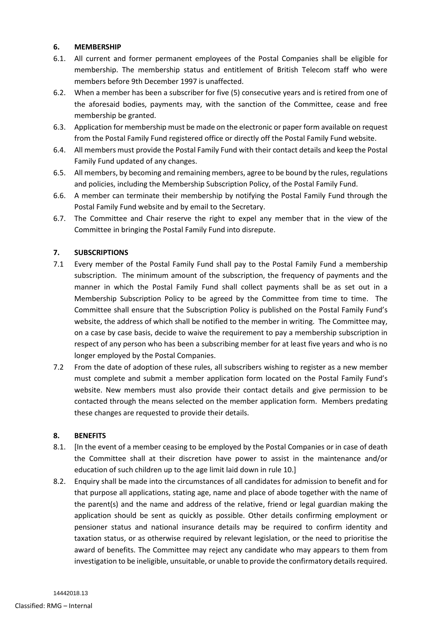# <span id="page-2-0"></span>**6. MEMBERSHIP**

- 6.1. All current and former permanent employees of the Postal Companies shall be eligible for membership. The membership status and entitlement of British Telecom staff who were members before 9th December 1997 is unaffected.
- 6.2. When a member has been a subscriber for five (5) consecutive years and is retired from one of the aforesaid bodies, payments may, with the sanction of the Committee, cease and free membership be granted.
- 6.3. Application for membership must be made on the electronic or paper form available on request from the Postal Family Fund registered office or directly off the Postal Family Fund website.
- 6.4. All members must provide the Postal Family Fund with their contact details and keep the Postal Family Fund updated of any changes.
- 6.5. All members, by becoming and remaining members, agree to be bound by the rules, regulations and policies, including the Membership Subscription Policy, of the Postal Family Fund.
- 6.6. A member can terminate their membership by notifying the Postal Family Fund through the Postal Family Fund website and by email to the Secretary.
- 6.7. The Committee and Chair reserve the right to expel any member that in the view of the Committee in bringing the Postal Family Fund into disrepute.

# **7. SUBSCRIPTIONS**

- 7.1 Every member of the Postal Family Fund shall pay to the Postal Family Fund a membership subscription. The minimum amount of the subscription, the frequency of payments and the manner in which the Postal Family Fund shall collect payments shall be as set out in a Membership Subscription Policy to be agreed by the Committee from time to time. The Committee shall ensure that the Subscription Policy is published on the Postal Family Fund's website, the address of which shall be notified to the member in writing. The Committee may, on a case by case basis, decide to waive the requirement to pay a membership subscription in respect of any person who has been a subscribing member for at least five years and who is no longer employed by the Postal Companies.
- 7.2 From the date of adoption of these rules, all subscribers wishing to register as a new member must complete and submit a member application form located on the Postal Family Fund's website. New members must also provide their contact details and give permission to be contacted through the means selected on the member application form. Members predating these changes are requested to provide their details.

# **8. BENEFITS**

- 8.1. [In the event of a member ceasing to be employed by the Postal Companies or in case of death the Committee shall at their discretion have power to assist in the maintenance and/or education of such children up to the age limit laid down in rul[e 10.](#page-3-0)]
- 8.2. Enquiry shall be made into the circumstances of all candidates for admission to benefit and for that purpose all applications, stating age, name and place of abode together with the name of the parent(s) and the name and address of the relative, friend or legal guardian making the application should be sent as quickly as possible. Other details confirming employment or pensioner status and national insurance details may be required to confirm identity and taxation status, or as otherwise required by relevant legislation, or the need to prioritise the award of benefits. The Committee may reject any candidate who may appears to them from investigation to be ineligible, unsuitable, or unable to provide the confirmatory details required.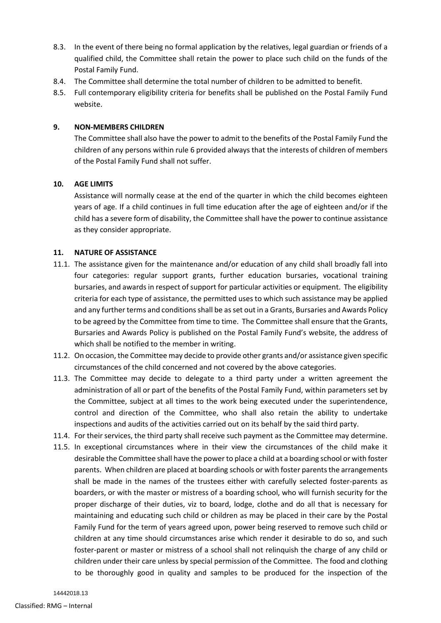- 8.3. In the event of there being no formal application by the relatives, legal guardian or friends of a qualified child, the Committee shall retain the power to place such child on the funds of the Postal Family Fund.
- 8.4. The Committee shall determine the total number of children to be admitted to benefit.
- 8.5. Full contemporary eligibility criteria for benefits shall be published on the Postal Family Fund website.

## **9. NON-MEMBERS CHILDREN**

The Committee shall also have the power to admit to the benefits of the Postal Family Fund the children of any persons within rule [6](#page-2-0) provided always that the interests of children of members of the Postal Family Fund shall not suffer.

#### <span id="page-3-0"></span>**10. AGE LIMITS**

Assistance will normally cease at the end of the quarter in which the child becomes eighteen years of age. If a child continues in full time education after the age of eighteen and/or if the child has a severe form of disability, the Committee shall have the power to continue assistance as they consider appropriate.

# **11. NATURE OF ASSISTANCE**

- 11.1. The assistance given for the maintenance and/or education of any child shall broadly fall into four categories: regular support grants, further education bursaries, vocational training bursaries, and awards in respect of support for particular activities or equipment. The eligibility criteria for each type of assistance, the permitted uses to which such assistance may be applied and any further terms and conditions shall be as set out in a Grants, Bursaries and Awards Policy to be agreed by the Committee from time to time. The Committee shall ensure that the Grants, Bursaries and Awards Policy is published on the Postal Family Fund's website, the address of which shall be notified to the member in writing.
- 11.2. On occasion, the Committee may decide to provide other grants and/or assistance given specific circumstances of the child concerned and not covered by the above categories.
- 11.3. The Committee may decide to delegate to a third party under a written agreement the administration of all or part of the benefits of the Postal Family Fund, within parameters set by the Committee, subject at all times to the work being executed under the superintendence, control and direction of the Committee, who shall also retain the ability to undertake inspections and audits of the activities carried out on its behalf by the said third party.
- 11.4. For their services, the third party shall receive such payment as the Committee may determine.
- <span id="page-3-1"></span>11.5. In exceptional circumstances where in their view the circumstances of the child make it desirable the Committee shall have the power to place a child at a boarding school or with foster parents. When children are placed at boarding schools or with foster parents the arrangements shall be made in the names of the trustees either with carefully selected foster-parents as boarders, or with the master or mistress of a boarding school, who will furnish security for the proper discharge of their duties, viz to board, lodge, clothe and do all that is necessary for maintaining and educating such child or children as may be placed in their care by the Postal Family Fund for the term of years agreed upon, power being reserved to remove such child or children at any time should circumstances arise which render it desirable to do so, and such foster-parent or master or mistress of a school shall not relinquish the charge of any child or children under their care unless by special permission of the Committee. The food and clothing to be thoroughly good in quality and samples to be produced for the inspection of the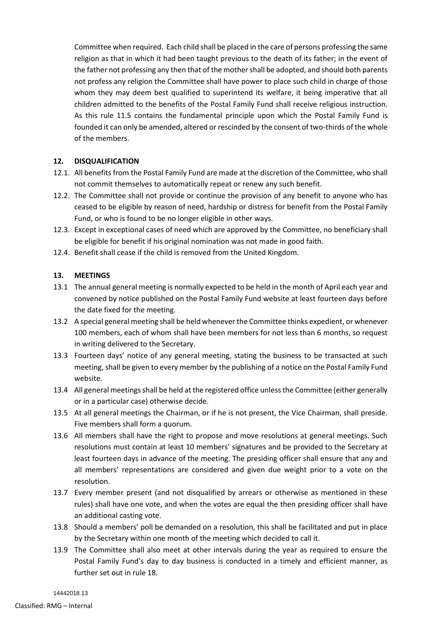Committee when required. Each child shall be placed in the care of persons professing the same religion as that in which it had been taught previous to the death of its father; in the event of the father not professing any then that of the mother shall be adopted, and should both parents not profess any religion the Committee shall have power to place such child in charge of those whom they may deem best qualified to superintend its welfare, it being imperative that all children admitted to the benefits of the Postal Family Fund shall receive religious instruction. As this rule [11.5](#page-3-1) contains the fundamental principle upon which the Postal Family Fund is founded it can only be amended, altered or rescinded by the consent of two-thirds of the whole of the members.

# **12. DISQUALIFICATION**

- 12.1. All benefits from the Postal Family Fund are made at the discretion of the Committee, who shall not commit themselves to automatically repeat or renew any such benefit.
- 12.2. The Committee shall not provide or continue the provision of any benefit to anyone who has ceased to be eligible by reason of need, hardship or distress for benefit from the Postal Family Fund, or who is found to be no longer eligible in other ways.
- 12.3. Except in exceptional cases of need which are approved by the Committee, no beneficiary shall be eligible for benefit if his original nomination was not made in good faith.
- 12.4. Benefit shall cease if the child is removed from the United Kingdom.

# **13. MEETINGS**

- 13.1 The annual general meeting is normally expected to be held in the month of April each year and convened by notice published on the Postal Family Fund website at least fourteen days before the date fixed for the meeting.
- 13.2 A special general meeting shall be held whenever the Committee thinks expedient, or whenever 100 members, each of whom shall have been members for not less than 6 months, so request in writing delivered to the Secretary.
- 13.3 Fourteen days' notice of any general meeting, stating the business to be transacted at such meeting, shall be given to every member by the publishing of a notice on the Postal Family Fund website.
- 13.4 All general meetings shall be held at the registered office unless the Committee (either generally or in a particular case) otherwise decide.
- 13.5 At all general meetings the Chairman, or if he is not present, the Vice Chairman, shall preside. Five members shall form a quorum.
- 13.6 All members shall have the right to propose and move resolutions at general meetings. Such resolutions must contain at least 10 members' signatures and be provided to the Secretary at least fourteen days in advance of the meeting. The presiding officer shall ensure that any and all members' representations are considered and given due weight prior to a vote on the resolution.
- 13.7 Every member present (and not disqualified by arrears or otherwise as mentioned in these rules) shall have one vote, and when the votes are equal the then presiding officer shall have an additional casting vote.
- 13.8 Should a members' poll be demanded on a resolution, this shall be facilitated and put in place by the Secretary within one month of the meeting which decided to call it.
- 13.9 The Committee shall also meet at other intervals during the year as required to ensure the Postal Family Fund's day to day business is conducted in a timely and efficient manner, as further set out in rule [18.](#page-8-0)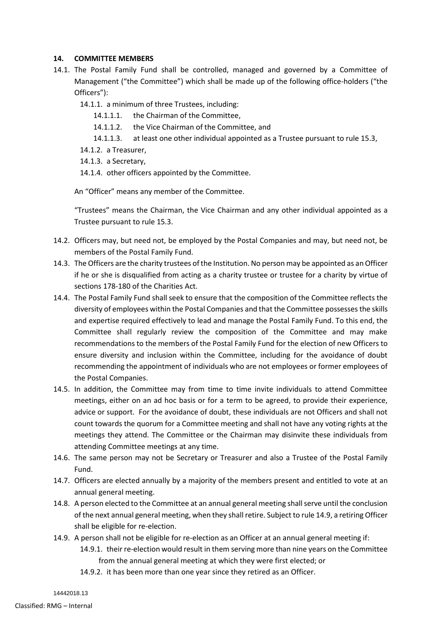# **14. COMMITTEE MEMBERS**

- 14.1. The Postal Family Fund shall be controlled, managed and governed by a Committee of Management ("the Committee") which shall be made up of the following office-holders ("the Officers"):
	- 14.1.1. a minimum of three Trustees, including:
		- 14.1.1.1. the Chairman of the Committee,
		- 14.1.1.2. the Vice Chairman of the Committee, and
		- 14.1.1.3. at least one other individual appointed as a Trustee pursuant to rule [15.3,](#page-7-0)
	- 14.1.2. a Treasurer,
	- 14.1.3. a Secretary,
	- 14.1.4. other officers appointed by the Committee.

An "Officer" means any member of the Committee.

"Trustees" means the Chairman, the Vice Chairman and any other individual appointed as a Trustee pursuant to rul[e 15.3.](#page-7-0)

- 14.2. Officers may, but need not, be employed by the Postal Companies and may, but need not, be members of the Postal Family Fund.
- <span id="page-5-1"></span>14.3. The Officers are the charity trustees of the Institution. No person may be appointed as an Officer if he or she is disqualified from acting as a charity trustee or trustee for a charity by virtue of sections 178-180 of the Charities Act.
- 14.4. The Postal Family Fund shall seek to ensure that the composition of the Committee reflects the diversity of employees within the Postal Companies and that the Committee possessesthe skills and expertise required effectively to lead and manage the Postal Family Fund. To this end, the Committee shall regularly review the composition of the Committee and may make recommendations to the members of the Postal Family Fund for the election of new Officers to ensure diversity and inclusion within the Committee, including for the avoidance of doubt recommending the appointment of individuals who are not employees or former employees of the Postal Companies.
- 14.5. In addition, the Committee may from time to time invite individuals to attend Committee meetings, either on an ad hoc basis or for a term to be agreed, to provide their experience, advice or support. For the avoidance of doubt, these individuals are not Officers and shall not count towards the quorum for a Committee meeting and shall not have any voting rights at the meetings they attend. The Committee or the Chairman may disinvite these individuals from attending Committee meetings at any time.
- 14.6. The same person may not be Secretary or Treasurer and also a Trustee of the Postal Family Fund.
- 14.7. Officers are elected annually by a majority of the members present and entitled to vote at an annual general meeting.
- 14.8. A person elected to the Committee at an annual general meeting shall serve until the conclusion of the next annual general meeting, when they shall retire. Subject to rul[e 14.9,](#page-5-0) a retiring Officer shall be eligible for re-election.
- <span id="page-5-0"></span>14.9. A person shall not be eligible for re-election as an Officer at an annual general meeting if:
	- 14.9.1. their re-election would result in them serving more than nine years on the Committee from the annual general meeting at which they were first elected; or
	- 14.9.2. it has been more than one year since they retired as an Officer.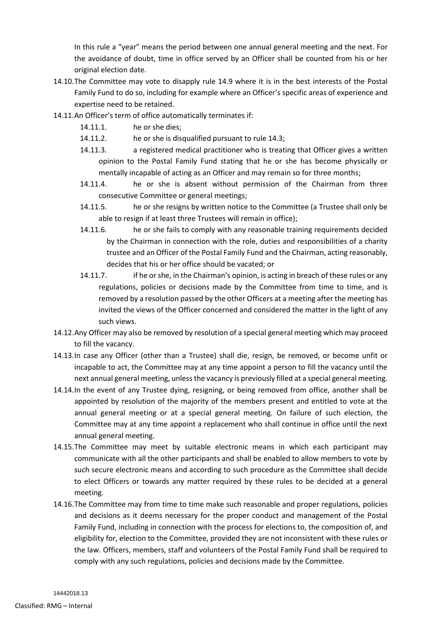In this rule a "year" means the period between one annual general meeting and the next. For the avoidance of doubt, time in office served by an Officer shall be counted from his or her original election date.

- 14.10.The Committee may vote to disapply rule [14.9](#page-5-0) where it is in the best interests of the Postal Family Fund to do so, including for example where an Officer's specific areas of experience and expertise need to be retained.
- 14.11.An Officer's term of office automatically terminates if:
	- 14.11.1. he or she dies;
	- 14.11.2. he or she is disqualified pursuant to rule [14.3;](#page-5-1)
	- 14.11.3. a registered medical practitioner who is treating that Officer gives a written opinion to the Postal Family Fund stating that he or she has become physically or mentally incapable of acting as an Officer and may remain so for three months;
	- 14.11.4. he or she is absent without permission of the Chairman from three consecutive Committee or general meetings;
	- 14.11.5. he or she resigns by written notice to the Committee (a Trustee shall only be able to resign if at least three Trustees will remain in office);
	- 14.11.6. he or she fails to comply with any reasonable training requirements decided by the Chairman in connection with the role, duties and responsibilities of a charity trustee and an Officer of the Postal Family Fund and the Chairman, acting reasonably, decides that his or her office should be vacated; or
	- 14.11.7. if he or she, in the Chairman's opinion, is acting in breach of these rules or any regulations, policies or decisions made by the Committee from time to time, and is removed by a resolution passed by the other Officers at a meeting after the meeting has invited the views of the Officer concerned and considered the matter in the light of any such views.
- 14.12.Any Officer may also be removed by resolution of a special general meeting which may proceed to fill the vacancy.
- 14.13.In case any Officer (other than a Trustee) shall die, resign, be removed, or become unfit or incapable to act, the Committee may at any time appoint a person to fill the vacancy until the next annual general meeting, unless the vacancy is previously filled at a special general meeting.
- 14.14.In the event of any Trustee dying, resigning, or being removed from office, another shall be appointed by resolution of the majority of the members present and entitled to vote at the annual general meeting or at a special general meeting. On failure of such election, the Committee may at any time appoint a replacement who shall continue in office until the next annual general meeting.
- 14.15.The Committee may meet by suitable electronic means in which each participant may communicate with all the other participants and shall be enabled to allow members to vote by such secure electronic means and according to such procedure as the Committee shall decide to elect Officers or towards any matter required by these rules to be decided at a general meeting.
- 14.16.The Committee may from time to time make such reasonable and proper regulations, policies and decisions as it deems necessary for the proper conduct and management of the Postal Family Fund, including in connection with the process for elections to, the composition of, and eligibility for, election to the Committee, provided they are not inconsistent with these rules or the law. Officers, members, staff and volunteers of the Postal Family Fund shall be required to comply with any such regulations, policies and decisions made by the Committee.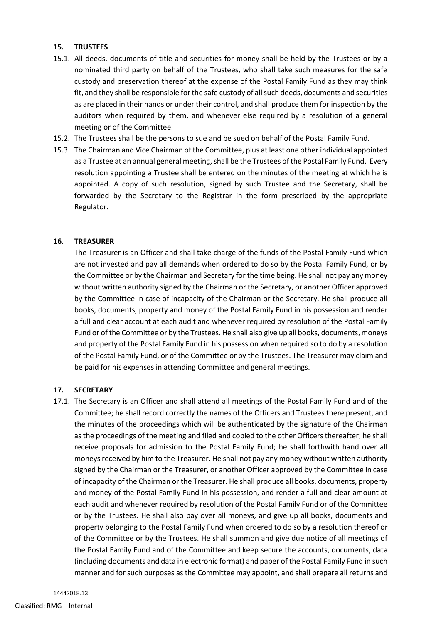#### **15. TRUSTEES**

- 15.1. All deeds, documents of title and securities for money shall be held by the Trustees or by a nominated third party on behalf of the Trustees, who shall take such measures for the safe custody and preservation thereof at the expense of the Postal Family Fund as they may think fit, and they shall be responsible for the safe custody of all such deeds, documents and securities as are placed in their hands or under their control, and shall produce them for inspection by the auditors when required by them, and whenever else required by a resolution of a general meeting or of the Committee.
- 15.2. The Trustees shall be the persons to sue and be sued on behalf of the Postal Family Fund.
- <span id="page-7-0"></span>15.3. The Chairman and Vice Chairman of the Committee, plus at least one other individual appointed as a Trustee at an annual general meeting, shall be the Trustees of the Postal Family Fund. Every resolution appointing a Trustee shall be entered on the minutes of the meeting at which he is appointed. A copy of such resolution, signed by such Trustee and the Secretary, shall be forwarded by the Secretary to the Registrar in the form prescribed by the appropriate Regulator.

# **16. TREASURER**

The Treasurer is an Officer and shall take charge of the funds of the Postal Family Fund which are not invested and pay all demands when ordered to do so by the Postal Family Fund, or by the Committee or by the Chairman and Secretary for the time being. He shall not pay any money without written authority signed by the Chairman or the Secretary, or another Officer approved by the Committee in case of incapacity of the Chairman or the Secretary. He shall produce all books, documents, property and money of the Postal Family Fund in his possession and render a full and clear account at each audit and whenever required by resolution of the Postal Family Fund or of the Committee or by the Trustees. He shall also give up all books, documents, moneys and property of the Postal Family Fund in his possession when required so to do by a resolution of the Postal Family Fund, or of the Committee or by the Trustees. The Treasurer may claim and be paid for his expenses in attending Committee and general meetings.

# **17. SECRETARY**

17.1. The Secretary is an Officer and shall attend all meetings of the Postal Family Fund and of the Committee; he shall record correctly the names of the Officers and Trustees there present, and the minutes of the proceedings which will be authenticated by the signature of the Chairman as the proceedings of the meeting and filed and copied to the other Officers thereafter; he shall receive proposals for admission to the Postal Family Fund; he shall forthwith hand over all moneys received by him to the Treasurer. He shall not pay any money without written authority signed by the Chairman or the Treasurer, or another Officer approved by the Committee in case of incapacity of the Chairman or the Treasurer. He shall produce all books, documents, property and money of the Postal Family Fund in his possession, and render a full and clear amount at each audit and whenever required by resolution of the Postal Family Fund or of the Committee or by the Trustees. He shall also pay over all moneys, and give up all books, documents and property belonging to the Postal Family Fund when ordered to do so by a resolution thereof or of the Committee or by the Trustees. He shall summon and give due notice of all meetings of the Postal Family Fund and of the Committee and keep secure the accounts, documents, data (including documents and data in electronic format) and paper of the Postal Family Fund in such manner and for such purposes as the Committee may appoint, and shall prepare all returns and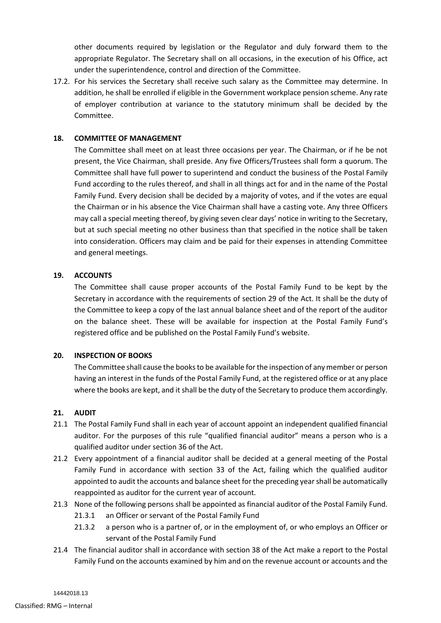other documents required by legislation or the Regulator and duly forward them to the appropriate Regulator. The Secretary shall on all occasions, in the execution of his Office, act under the superintendence, control and direction of the Committee.

17.2. For his services the Secretary shall receive such salary as the Committee may determine. In addition, he shall be enrolled if eligible in the Government workplace pension scheme. Any rate of employer contribution at variance to the statutory minimum shall be decided by the Committee.

# <span id="page-8-0"></span>**18. COMMITTEE OF MANAGEMENT**

The Committee shall meet on at least three occasions per year. The Chairman, or if he be not present, the Vice Chairman, shall preside. Any five Officers/Trustees shall form a quorum. The Committee shall have full power to superintend and conduct the business of the Postal Family Fund according to the rules thereof, and shall in all things act for and in the name of the Postal Family Fund. Every decision shall be decided by a majority of votes, and if the votes are equal the Chairman or in his absence the Vice Chairman shall have a casting vote. Any three Officers may call a special meeting thereof, by giving seven clear days' notice in writing to the Secretary, but at such special meeting no other business than that specified in the notice shall be taken into consideration. Officers may claim and be paid for their expenses in attending Committee and general meetings.

#### **19. ACCOUNTS**

The Committee shall cause proper accounts of the Postal Family Fund to be kept by the Secretary in accordance with the requirements of section 29 of the Act. It shall be the duty of the Committee to keep a copy of the last annual balance sheet and of the report of the auditor on the balance sheet. These will be available for inspection at the Postal Family Fund's registered office and be published on the Postal Family Fund's website.

#### **20. INSPECTION OF BOOKS**

The Committee shall cause the books to be available for the inspection of any member or person having an interest in the funds of the Postal Family Fund, at the registered office or at any place where the books are kept, and it shall be the duty of the Secretary to produce them accordingly.

#### **21. AUDIT**

- 21.1 The Postal Family Fund shall in each year of account appoint an independent qualified financial auditor. For the purposes of this rule "qualified financial auditor" means a person who is a qualified auditor under section 36 of the Act.
- 21.2 Every appointment of a financial auditor shall be decided at a general meeting of the Postal Family Fund in accordance with section 33 of the Act, failing which the qualified auditor appointed to audit the accounts and balance sheet for the preceding year shall be automatically reappointed as auditor for the current year of account.
- 21.3 None of the following persons shall be appointed as financial auditor of the Postal Family Fund.
	- 21.3.1 an Officer or servant of the Postal Family Fund
	- 21.3.2 a person who is a partner of, or in the employment of, or who employs an Officer or servant of the Postal Family Fund
- 21.4 The financial auditor shall in accordance with section 38 of the Act make a report to the Postal Family Fund on the accounts examined by him and on the revenue account or accounts and the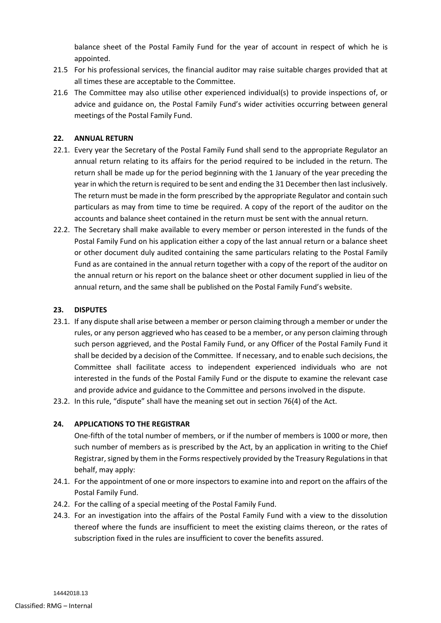balance sheet of the Postal Family Fund for the year of account in respect of which he is appointed.

- 21.5 For his professional services, the financial auditor may raise suitable charges provided that at all times these are acceptable to the Committee.
- 21.6 The Committee may also utilise other experienced individual(s) to provide inspections of, or advice and guidance on, the Postal Family Fund's wider activities occurring between general meetings of the Postal Family Fund.

# **22. ANNUAL RETURN**

- 22.1. Every year the Secretary of the Postal Family Fund shall send to the appropriate Regulator an annual return relating to its affairs for the period required to be included in the return. The return shall be made up for the period beginning with the 1 January of the year preceding the year in which the return is required to be sent and ending the 31 December then last inclusively. The return must be made in the form prescribed by the appropriate Regulator and contain such particulars as may from time to time be required. A copy of the report of the auditor on the accounts and balance sheet contained in the return must be sent with the annual return.
- 22.2. The Secretary shall make available to every member or person interested in the funds of the Postal Family Fund on his application either a copy of the last annual return or a balance sheet or other document duly audited containing the same particulars relating to the Postal Family Fund as are contained in the annual return together with a copy of the report of the auditor on the annual return or his report on the balance sheet or other document supplied in lieu of the annual return, and the same shall be published on the Postal Family Fund's website.

#### **23. DISPUTES**

- 23.1. If any dispute shall arise between a member or person claiming through a member or under the rules, or any person aggrieved who has ceased to be a member, or any person claiming through such person aggrieved, and the Postal Family Fund, or any Officer of the Postal Family Fund it shall be decided by a decision of the Committee. If necessary, and to enable such decisions, the Committee shall facilitate access to independent experienced individuals who are not interested in the funds of the Postal Family Fund or the dispute to examine the relevant case and provide advice and guidance to the Committee and persons involved in the dispute.
- 23.2. In this rule, "dispute" shall have the meaning set out in section 76(4) of the Act.

#### **24. APPLICATIONS TO THE REGISTRAR**

One-fifth of the total number of members, or if the number of members is 1000 or more, then such number of members as is prescribed by the Act, by an application in writing to the Chief Registrar, signed by them in the Forms respectively provided by the Treasury Regulations in that behalf, may apply:

- 24.1. For the appointment of one or more inspectors to examine into and report on the affairs of the Postal Family Fund.
- 24.2. For the calling of a special meeting of the Postal Family Fund.
- 24.3. For an investigation into the affairs of the Postal Family Fund with a view to the dissolution thereof where the funds are insufficient to meet the existing claims thereon, or the rates of subscription fixed in the rules are insufficient to cover the benefits assured.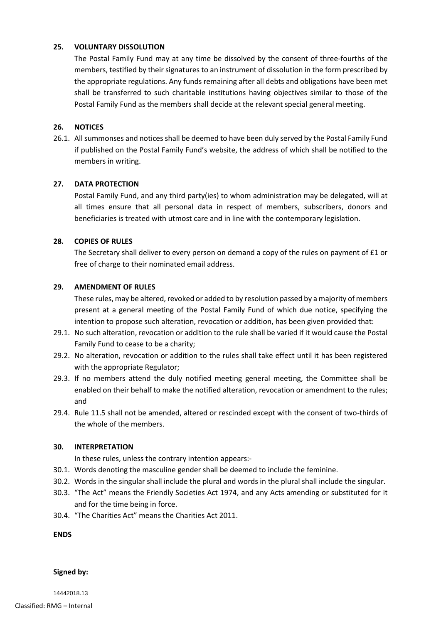# **25. VOLUNTARY DISSOLUTION**

The Postal Family Fund may at any time be dissolved by the consent of three-fourths of the members, testified by their signatures to an instrument of dissolution in the form prescribed by the appropriate regulations. Any funds remaining after all debts and obligations have been met shall be transferred to such charitable institutions having objectives similar to those of the Postal Family Fund as the members shall decide at the relevant special general meeting.

# **26. NOTICES**

<span id="page-10-0"></span>26.1. All summonses and notices shall be deemed to have been duly served by the Postal Family Fund if published on the Postal Family Fund's website, the address of which shall be notified to the members in writing.

# **27. DATA PROTECTION**

Postal Family Fund, and any third party(ies) to whom administration may be delegated, will at all times ensure that all personal data in respect of members, subscribers, donors and beneficiaries is treated with utmost care and in line with the contemporary legislation.

# **28. COPIES OF RULES**

The Secretary shall deliver to every person on demand a copy of the rules on payment of £1 or free of charge to their nominated email address.

# **29. AMENDMENT OF RULES**

These rules, may be altered, revoked or added to by resolution passed by a majority of members present at a general meeting of the Postal Family Fund of which due notice, specifying the intention to propose such alteration, revocation or addition, has been given provided that:

- 29.1. No such alteration, revocation or addition to the rule shall be varied if it would cause the Postal Family Fund to cease to be a charity;
- 29.2. No alteration, revocation or addition to the rules shall take effect until it has been registered with the appropriate Regulator;
- 29.3. If no members attend the duly notified meeting general meeting, the Committee shall be enabled on their behalf to make the notified alteration, revocation or amendment to the rules; and
- 29.4. Rule [11.5](#page-3-1) shall not be amended, altered or rescinded except with the consent of two-thirds of the whole of the members.

#### **30. INTERPRETATION**

In these rules, unless the contrary intention appears:-

- 30.1. Words denoting the masculine gender shall be deemed to include the feminine.
- 30.2. Words in the singular shall include the plural and words in the plural shall include the singular.
- 30.3. "The Act" means the Friendly Societies Act 1974, and any Acts amending or substituted for it and for the time being in force.
- 30.4. "The Charities Act" means the Charities Act 2011.

**ENDS**

#### **Signed by:**